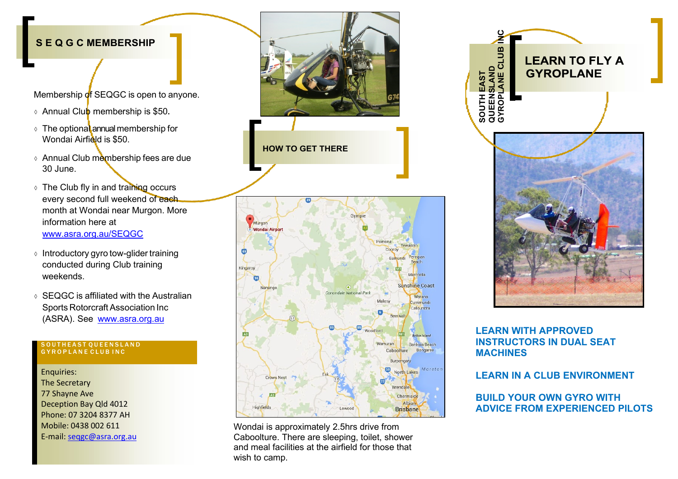# **S E Q G C MEMBERSHIP**

Membership of SEQGC is open to anyone.

- ◇ Annual Club membership is \$50.
- $\diamond$  The optional annual membership for Wondai Airfield is \$50.
- $\diamond$  Annual Club membership fees are due 30 June.
- ◇ The Club fly in and training occurs every second full weekend of each month at Wondai near Murgon. More information here at [www.asra.org.au/SEQGC](http://www.asra.org.au/SEQGC)
- ◇ Introductory gyro tow-glider training conducted during Club training weekends.
- ◇ SEQGC is affiliated with the Australian Sports Rotorcraft Association Inc (ASRA). See [www.asra.org.au](http://www.asra.org.au/)

#### S O U T H E A S T Q U E E N S L A N D G Y R O P L A N E C L U B I N C

Enquiries: The Secretary 77 Shayne Ave Deception Bay Qld 4012 Phone: 07 3204 8377 AH Mobile: 0438 002 611 E-mail: [seqgc@asra.org.au](mailto:seqgc@asra.org.au)



Wondai is approximately 2.5hrs drive from Caboolture. There are sleeping, toilet, shower and meal facilities at the airfield for those that wish to camp.



## **LEARN WITH APPROVED INSTRUCTORS IN DUAL SEAT MACHINES**

## **LEARN IN A CLUB ENVIRONMENT**

**BUILD YOUR OWN GYRO WITH ADVICE FROM EXPERIENCED PILOTS**